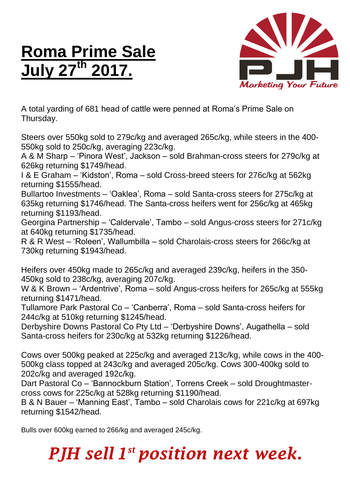## **Roma Prime Sale July 27 th 2017.**



A total yarding of 681 head of cattle were penned at Roma's Prime Sale on Thursday.

Steers over 550kg sold to 279c/kg and averaged 265c/kg, while steers in the 400- 550kg sold to 250c/kg, averaging 223c/kg.

A & M Sharp – 'Pinora West', Jackson – sold Brahman-cross steers for 279c/kg at 626kg returning \$1749/head.

I & E Graham – 'Kidston', Roma – sold Cross-breed steers for 276c/kg at 562kg returning \$1555/head.

Bullartoo Investments – 'Oaklea', Roma – sold Santa-cross steers for 275c/kg at 635kg returning \$1746/head. The Santa-cross heifers went for 256c/kg at 465kg returning \$1193/head.

Georgina Partnership – 'Caldervale', Tambo – sold Angus-cross steers for 271c/kg at 640kg returning \$1735/head.

R & R West – 'Roleen', Wallumbilla – sold Charolais-cross steers for 266c/kg at 730kg returning \$1943/head.

Heifers over 450kg made to 265c/kg and averaged 239c/kg, heifers in the 350- 450kg sold to 238c/kg, averaging 207c/kg.

W & K Brown – 'Ardentrive', Roma – sold Angus-cross heifers for 265c/kg at 555kg returning \$1471/head.

Tullamore Park Pastoral Co – 'Canberra', Roma – sold Santa-cross heifers for 244c/kg at 510kg returning \$1245/head.

Derbyshire Downs Pastoral Co Pty Ltd – 'Derbyshire Downs', Augathella – sold Santa-cross heifers for 230c/kg at 532kg returning \$1226/head.

Cows over 500kg peaked at 225c/kg and averaged 213c/kg, while cows in the 400- 500kg class topped at 243c/kg and averaged 205c/kg. Cows 300-400kg sold to 202c/kg and averaged 192c/kg.

Dart Pastoral Co – 'Bannockburn Station', Torrens Creek – sold Droughtmastercross cows for 225c/kg at 528kg returning \$1190/head.

B & N Bauer – 'Manning East', Tambo – sold Charolais cows for 221c/kg at 697kg returning \$1542/head.

Bulls over 600kg earned to 266/kg and averaged 245c/kg.

## *PJH sell 1 st position next week.*